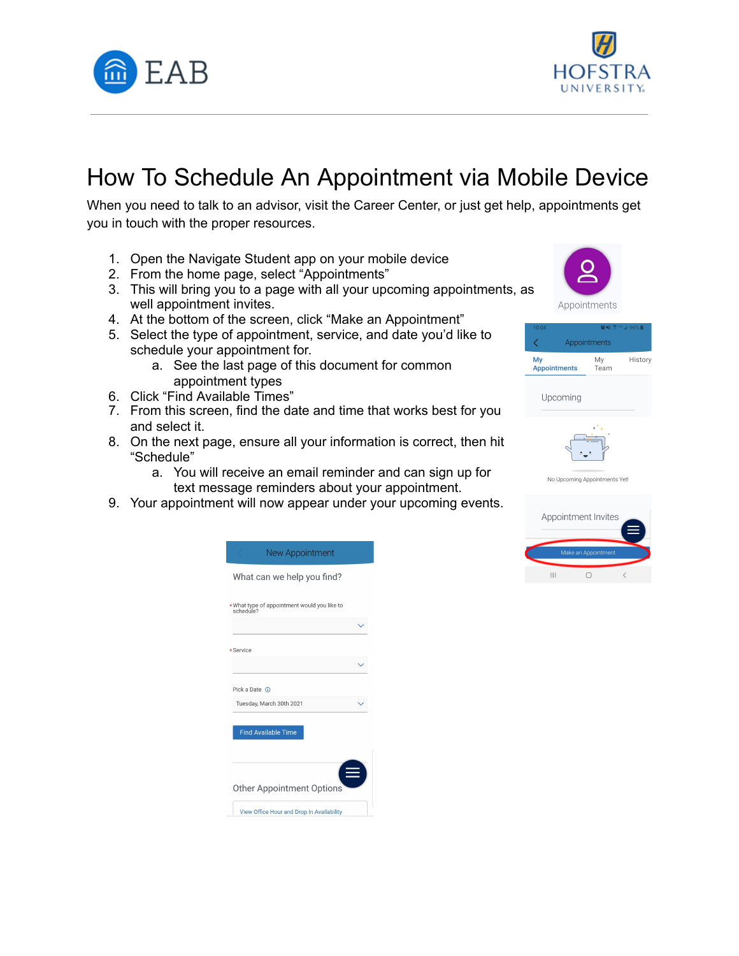



## How To Schedule An Appointment via Mobile Device

 When you need to talk to an advisor, visit the Career Center, or just get help, appointments get you in touch with the proper resources.

- 1. Open the Navigate Student app on your mobile device
- 2. From the home page, select "Appointments"
- 3. This will bring you to a page with all your upcoming appointments, as well appointment invites.
- 4. At the bottom of the screen, click "Make an Appointment"
- 5. Select the type of appointment, service, and date you'd like to schedule your appointment for.
	- a. See the last page of this document for common appointment types
- 6. Click "Find Available Times"
- 7. From this screen, find the date and time that works best for you and select it.
- 8. On the next page, ensure all your information is correct, then hit "Schedule"
	- a. You will receive an email reminder and can sign up for text message reminders about your appointment.
- 9. Your appointment will now appear under your upcoming events.

| New Appointment                                          |  |
|----------------------------------------------------------|--|
| What can we help you find?                               |  |
| *What type of appointment would you like to<br>schedule? |  |
|                                                          |  |
| *Service                                                 |  |
|                                                          |  |
| Pick a Date (1)                                          |  |
| Tuesday, March 30th 2021                                 |  |
| <b>Find Available Time</b>                               |  |
| <b>Other Appointment Options</b>                         |  |
|                                                          |  |





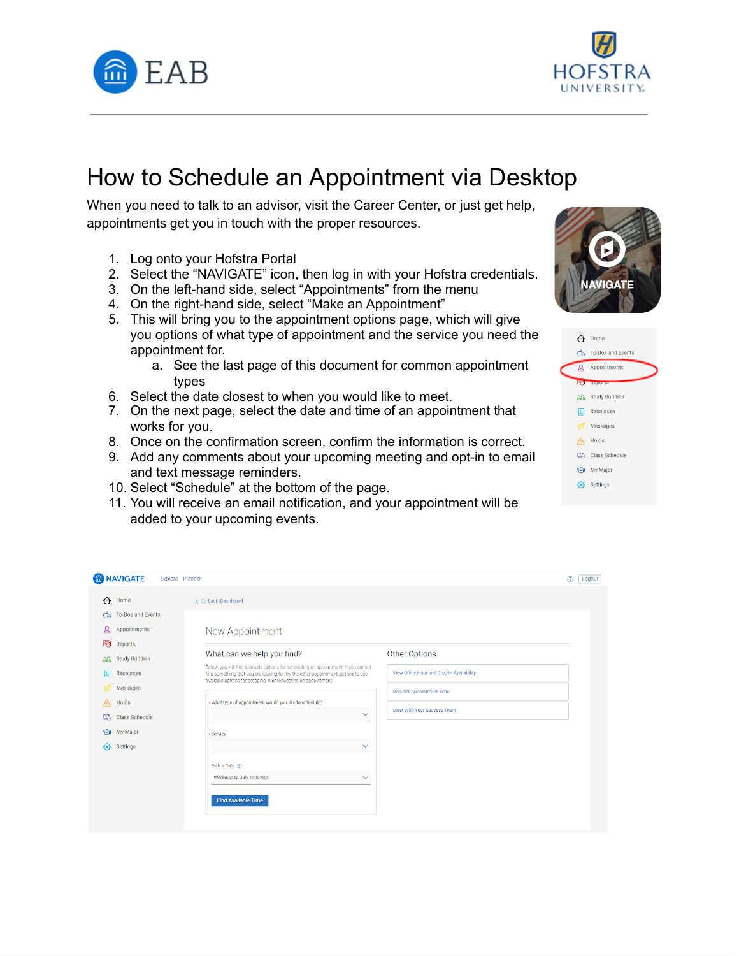



## How to Schedule an Appointment via Desktop

 When you need to talk to an advisor, visit the Career Center, or just get help, appointments get you in touch with the proper resources.

- 1. Log onto your Hofstra Portal
- 2. Select the "NAVIGATE" icon, then log in with your Hofstra credentials.
- 3. On the left-hand side, select "Appointments" from the menu
- 4. On the right-hand side, select "Make an Appointment"
- 5. This will bring you to the appointment options page, which will give you options of what type of appointment and the service you need the appointment for.
	- a. See the last page of this document for common appointment types
- 6. Select the date closest to when you would like to meet.
- 7. On the next page, select the date and time of an appointment that works for you.
- 8. Once on the confirmation screen, confirm the information is correct.
- 9. Add any comments about your upcoming meeting and opt-in to email and text message reminders.
- 10. Select "Schedule" at the bottom of the page.
- 11. You will receive an email notification, and your appointment will be added to your upcoming events.





|                      | MAVIGATE              | Explore Planner                                                                                                                                                                                                                             |              |                                           | (2)<br>Logout |
|----------------------|-----------------------|---------------------------------------------------------------------------------------------------------------------------------------------------------------------------------------------------------------------------------------------|--------------|-------------------------------------------|---------------|
| क़                   | Home                  | < Go Back  Dashboard                                                                                                                                                                                                                        |              |                                           |               |
| රු                   | To-Dos and Events     |                                                                                                                                                                                                                                             |              |                                           |               |
| ഉ                    | Appointments          | New Appointment                                                                                                                                                                                                                             |              |                                           |               |
| 毆                    | Reports               |                                                                                                                                                                                                                                             |              |                                           |               |
| 鶌                    | <b>Study Buddies</b>  | What can we help you find?                                                                                                                                                                                                                  |              | <b>Other Options</b>                      |               |
| <b>B</b>             | Resources             | Below, you will find available options for scheduling an appointment. If you cannot<br>find something that you are looking for, try the other appointment options to see<br>available options for dropping in or requesting an appointment. |              | View Office Hour and Drop In Availability |               |
| -21                  | Messages              |                                                                                                                                                                                                                                             |              | <b>Request Appointment Time</b>           |               |
| Λ                    | Holds                 | *What type of appointment would you like to schedule?                                                                                                                                                                                       |              | Meet With Your Success Team               |               |
| <b>D<sub>®</sub></b> | <b>Class Schedule</b> |                                                                                                                                                                                                                                             | $\checkmark$ |                                           |               |
| ର                    | My Major              | $\star$ Service                                                                                                                                                                                                                             |              |                                           |               |
| ₩                    | Settings              |                                                                                                                                                                                                                                             | $\checkmark$ |                                           |               |
|                      |                       | Pick a Date ①                                                                                                                                                                                                                               |              |                                           |               |
|                      |                       | Wednesday, July 14th 2021                                                                                                                                                                                                                   | $\checkmark$ |                                           |               |
|                      |                       | <b>Find Available Time</b>                                                                                                                                                                                                                  |              |                                           |               |
|                      |                       |                                                                                                                                                                                                                                             |              |                                           |               |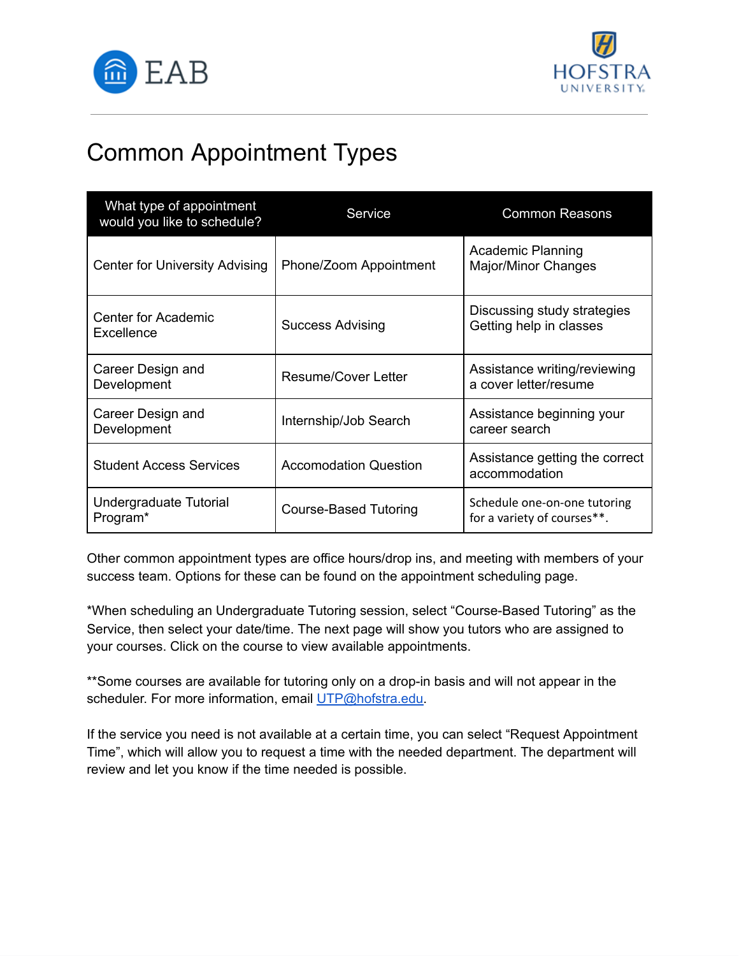



## Common Appointment Types

| What type of appointment<br>would you like to schedule? | Service                      | <b>Common Reasons</b>                                       |
|---------------------------------------------------------|------------------------------|-------------------------------------------------------------|
| Center for University Advising                          | Phone/Zoom Appointment       | <b>Academic Planning</b><br><b>Major/Minor Changes</b>      |
| <b>Center for Academic</b><br>Excellence                | <b>Success Advising</b>      | Discussing study strategies<br>Getting help in classes      |
| Career Design and<br>Development                        | <b>Resume/Cover Letter</b>   | Assistance writing/reviewing<br>a cover letter/resume       |
| Career Design and<br>Development                        | Internship/Job Search        | Assistance beginning your<br>career search                  |
| <b>Student Access Services</b>                          | <b>Accomodation Question</b> | Assistance getting the correct<br>accommodation             |
| Undergraduate Tutorial<br>Program*                      | <b>Course-Based Tutoring</b> | Schedule one-on-one tutoring<br>for a variety of courses**. |

 Other common appointment types are office hours/drop ins, and meeting with members of your success team. Options for these can be found on the appointment scheduling page.

 \*When scheduling an Undergraduate Tutoring session, select "Course-Based Tutoring" as the Service, then select your date/time. The next page will show you tutors who are assigned to your courses. Click on the course to view available appointments.

 \*\*Some courses are available for tutoring only on a drop-in basis and will not appear in the scheduler. For more information, email [UTP@hofstra.edu.](mailto:UTP@hofstra.edu)

 If the service you need is not available at a certain time, you can select "Request Appointment Time", which will allow you to request a time with the needed department. The department will review and let you know if the time needed is possible.